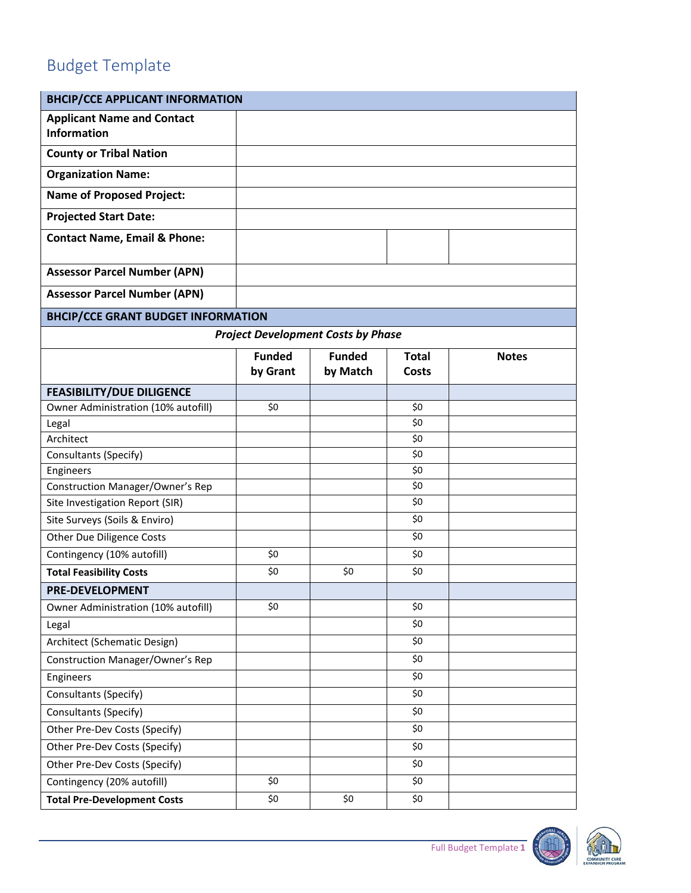## Budget Template

| <b>BHCIP/CCE APPLICANT INFORMATION</b>                                     |               |                                           |              |              |  |
|----------------------------------------------------------------------------|---------------|-------------------------------------------|--------------|--------------|--|
| <b>Applicant Name and Contact</b><br><b>Information</b>                    |               |                                           |              |              |  |
| <b>County or Tribal Nation</b>                                             |               |                                           |              |              |  |
| <b>Organization Name:</b>                                                  |               |                                           |              |              |  |
| <b>Name of Proposed Project:</b>                                           |               |                                           |              |              |  |
| <b>Projected Start Date:</b>                                               |               |                                           |              |              |  |
| <b>Contact Name, Email &amp; Phone:</b>                                    |               |                                           |              |              |  |
| <b>Assessor Parcel Number (APN)</b>                                        |               |                                           |              |              |  |
| <b>Assessor Parcel Number (APN)</b>                                        |               |                                           |              |              |  |
| <b>BHCIP/CCE GRANT BUDGET INFORMATION</b>                                  |               |                                           |              |              |  |
|                                                                            |               | <b>Project Development Costs by Phase</b> |              |              |  |
|                                                                            | <b>Funded</b> | <b>Funded</b>                             | <b>Total</b> | <b>Notes</b> |  |
|                                                                            | by Grant      | by Match                                  | <b>Costs</b> |              |  |
| <b>FEASIBILITY/DUE DILIGENCE</b>                                           |               |                                           |              |              |  |
| Owner Administration (10% autofill)                                        | \$0           |                                           | \$0          |              |  |
| Legal                                                                      |               |                                           | \$0          |              |  |
| Architect                                                                  |               |                                           | \$0          |              |  |
| Consultants (Specify)                                                      |               |                                           | \$0          |              |  |
| Engineers                                                                  |               |                                           | \$0          |              |  |
| <b>Construction Manager/Owner's Rep</b><br>Site Investigation Report (SIR) |               |                                           | \$0<br>\$0   |              |  |
|                                                                            |               |                                           | \$0          |              |  |
| Site Surveys (Soils & Enviro)                                              |               |                                           | \$0          |              |  |
| Other Due Diligence Costs                                                  |               |                                           |              |              |  |
| Contingency (10% autofill)                                                 | \$0           |                                           | \$0          |              |  |
| <b>Total Feasibility Costs</b>                                             | \$0           | \$0                                       | \$0          |              |  |
| <b>PRE-DEVELOPMENT</b>                                                     |               |                                           |              |              |  |
| Owner Administration (10% autofill)                                        | \$0           |                                           | \$0          |              |  |
| Legal                                                                      |               |                                           | \$0          |              |  |
| Architect (Schematic Design)                                               |               |                                           | \$0          |              |  |
| <b>Construction Manager/Owner's Rep</b>                                    |               |                                           | \$0          |              |  |
| Engineers                                                                  |               |                                           | \$0          |              |  |
| Consultants (Specify)                                                      |               |                                           | \$0          |              |  |
| Consultants (Specify)                                                      |               |                                           | \$0          |              |  |
| Other Pre-Dev Costs (Specify)                                              |               |                                           | \$0          |              |  |
| Other Pre-Dev Costs (Specify)                                              |               |                                           | \$0          |              |  |
| Other Pre-Dev Costs (Specify)                                              |               |                                           | \$0          |              |  |
| Contingency (20% autofill)                                                 | \$0           |                                           | \$0          |              |  |
| <b>Total Pre-Development Costs</b>                                         | \$0           | \$0                                       | \$0          |              |  |

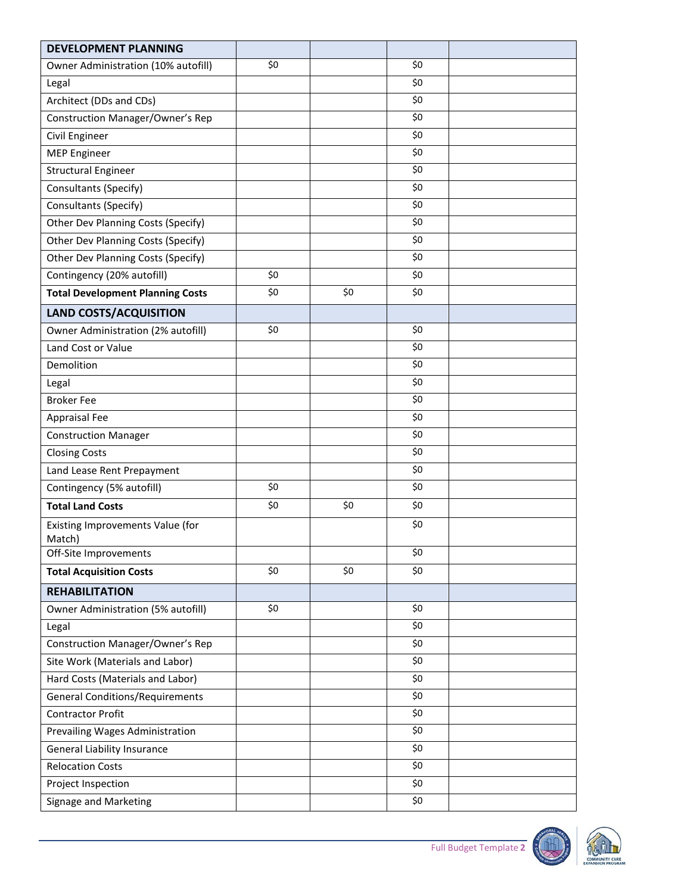| <b>DEVELOPMENT PLANNING</b>                |     |     |     |  |
|--------------------------------------------|-----|-----|-----|--|
| Owner Administration (10% autofill)        | \$0 |     | \$0 |  |
| Legal                                      |     |     | \$0 |  |
| Architect (DDs and CDs)                    |     |     | \$0 |  |
| <b>Construction Manager/Owner's Rep</b>    |     |     | \$0 |  |
| Civil Engineer                             |     |     | \$0 |  |
| <b>MEP Engineer</b>                        |     |     | \$0 |  |
| <b>Structural Engineer</b>                 |     |     | \$0 |  |
| Consultants (Specify)                      |     |     | \$0 |  |
| Consultants (Specify)                      |     |     | \$0 |  |
| Other Dev Planning Costs (Specify)         |     |     | \$0 |  |
| Other Dev Planning Costs (Specify)         |     |     | \$0 |  |
| Other Dev Planning Costs (Specify)         |     |     | \$0 |  |
| Contingency (20% autofill)                 | \$0 |     | \$0 |  |
| <b>Total Development Planning Costs</b>    | \$0 | \$0 | \$0 |  |
| <b>LAND COSTS/ACQUISITION</b>              |     |     |     |  |
| Owner Administration (2% autofill)         | \$0 |     | \$0 |  |
| Land Cost or Value                         |     |     | \$0 |  |
| Demolition                                 |     |     | \$0 |  |
| Legal                                      |     |     | \$0 |  |
| <b>Broker Fee</b>                          |     |     | \$0 |  |
| <b>Appraisal Fee</b>                       |     |     | \$0 |  |
| <b>Construction Manager</b>                |     |     | \$0 |  |
| <b>Closing Costs</b>                       |     |     | \$0 |  |
| Land Lease Rent Prepayment                 |     |     | \$0 |  |
| Contingency (5% autofill)                  | \$0 |     | \$0 |  |
| <b>Total Land Costs</b>                    | \$0 | \$0 | \$0 |  |
| Existing Improvements Value (for<br>Match) |     |     | \$0 |  |
| Off-Site Improvements                      |     |     | \$0 |  |
| <b>Total Acquisition Costs</b>             | \$0 | \$0 | \$0 |  |
| <b>REHABILITATION</b>                      |     |     |     |  |
| Owner Administration (5% autofill)         | \$0 |     | \$0 |  |
| Legal                                      |     |     | \$0 |  |
| <b>Construction Manager/Owner's Rep</b>    |     |     | \$0 |  |
| Site Work (Materials and Labor)            |     |     | \$0 |  |
| Hard Costs (Materials and Labor)           |     |     | \$0 |  |
| <b>General Conditions/Requirements</b>     |     |     | \$0 |  |
| <b>Contractor Profit</b>                   |     |     | \$0 |  |
| Prevailing Wages Administration            |     |     | \$0 |  |
| <b>General Liability Insurance</b>         |     |     | \$0 |  |
| <b>Relocation Costs</b>                    |     |     | \$0 |  |
| Project Inspection                         |     |     | \$0 |  |
| Signage and Marketing                      |     |     | \$0 |  |

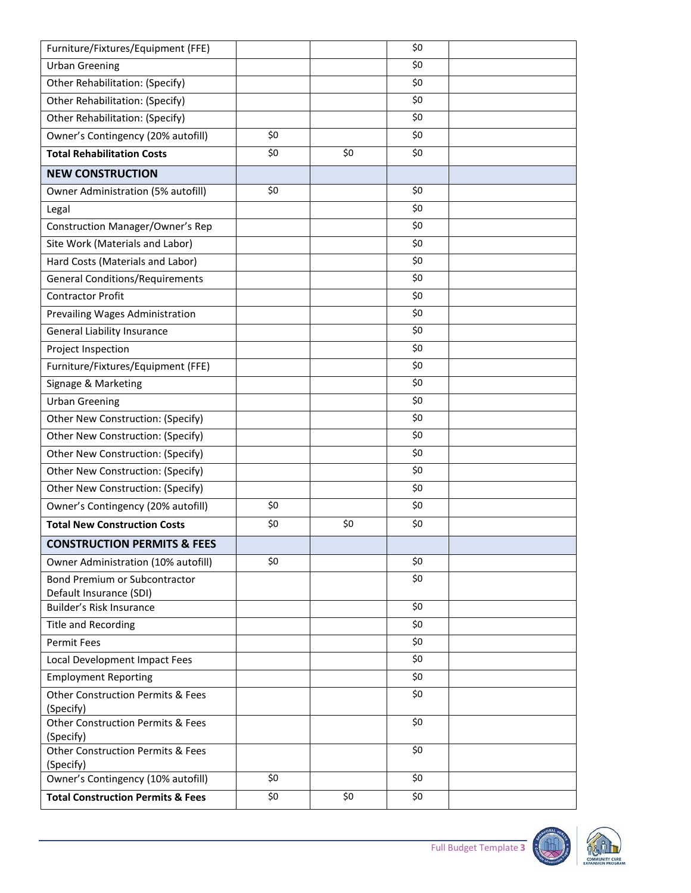| Furniture/Fixtures/Equipment (FFE)                        |     |     | \$0 |  |
|-----------------------------------------------------------|-----|-----|-----|--|
| <b>Urban Greening</b>                                     |     |     | \$0 |  |
| Other Rehabilitation: (Specify)                           |     |     | \$0 |  |
| Other Rehabilitation: (Specify)                           |     |     | \$0 |  |
| Other Rehabilitation: (Specify)                           |     |     | \$0 |  |
| Owner's Contingency (20% autofill)                        | \$0 |     | \$0 |  |
| <b>Total Rehabilitation Costs</b>                         | \$0 | \$0 | \$0 |  |
| <b>NEW CONSTRUCTION</b>                                   |     |     |     |  |
| Owner Administration (5% autofill)                        | \$0 |     | \$0 |  |
| Legal                                                     |     |     | \$0 |  |
| <b>Construction Manager/Owner's Rep</b>                   |     |     | \$0 |  |
| Site Work (Materials and Labor)                           |     |     | \$0 |  |
| Hard Costs (Materials and Labor)                          |     |     | \$0 |  |
| <b>General Conditions/Requirements</b>                    |     |     | \$0 |  |
| <b>Contractor Profit</b>                                  |     |     | \$0 |  |
| Prevailing Wages Administration                           |     |     | \$0 |  |
| <b>General Liability Insurance</b>                        |     |     | \$0 |  |
| Project Inspection                                        |     |     | \$0 |  |
| Furniture/Fixtures/Equipment (FFE)                        |     |     | \$0 |  |
| Signage & Marketing                                       |     |     | \$0 |  |
| <b>Urban Greening</b>                                     |     |     | \$0 |  |
| Other New Construction: (Specify)                         |     |     | \$0 |  |
| Other New Construction: (Specify)                         |     |     | \$0 |  |
| Other New Construction: (Specify)                         |     |     | \$0 |  |
| Other New Construction: (Specify)                         |     |     | \$0 |  |
| Other New Construction: (Specify)                         |     |     | \$0 |  |
| Owner's Contingency (20% autofill)                        | \$0 |     | \$0 |  |
| <b>Total New Construction Costs</b>                       | \$0 | \$0 | \$0 |  |
| <b>CONSTRUCTION PERMITS &amp; FEES</b>                    |     |     |     |  |
| Owner Administration (10% autofill)                       | \$0 |     | \$0 |  |
| <b>Bond Premium or Subcontractor</b>                      |     |     | \$0 |  |
| Default Insurance (SDI)                                   |     |     |     |  |
| Builder's Risk Insurance                                  |     |     | \$0 |  |
| <b>Title and Recording</b>                                |     |     | \$0 |  |
| <b>Permit Fees</b>                                        |     |     | \$0 |  |
| Local Development Impact Fees                             |     |     | \$0 |  |
| <b>Employment Reporting</b>                               |     |     | \$0 |  |
| <b>Other Construction Permits &amp; Fees</b>              |     |     | \$0 |  |
| (Specify)<br><b>Other Construction Permits &amp; Fees</b> |     |     | \$0 |  |
| (Specify)                                                 |     |     |     |  |
| <b>Other Construction Permits &amp; Fees</b>              |     |     | \$0 |  |
| (Specify)                                                 |     |     |     |  |
| Owner's Contingency (10% autofill)                        | \$0 |     | \$0 |  |
| <b>Total Construction Permits &amp; Fees</b>              | \$0 | \$0 | \$0 |  |